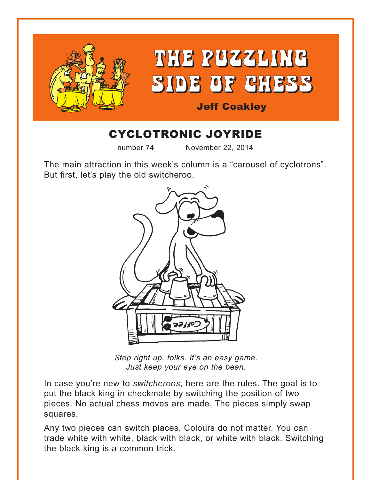

# CYCLOTRONIC JOYRIDE

number 74 November 22, 2014

The main attraction in this week's column is a "carousel of cyclotrons". But first, let's play the old switcheroo.



*Step right up, folks. It's an easy game. Just keep your eye on the bean.*

In case you're new to *switcheroos*, here are the rules. The goal is to put the black king in checkmate by switching the position of two pieces. No actual chess moves are made. The pieces simply swap squares.

Any two pieces can switch places. Colours do not matter. You can trade white with white, black with black, or white with black. Switching the black king is a common trick.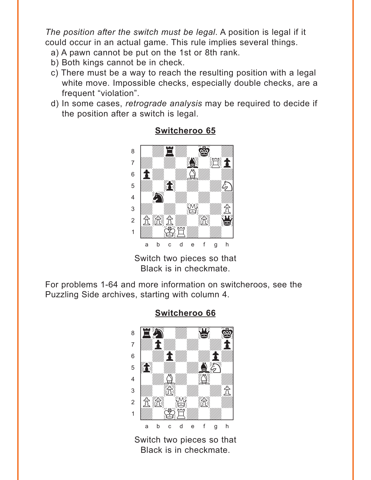<span id="page-1-0"></span>*The position after the switch must be legal*. A position is legal if it could occur in an actual game. This rule implies several things.

- a) A pawn cannot be put on the 1st or 8th rank.
- b) Both kings cannot be in check.
- c) There must be a way to reach the resulting position with a legal white move. Impossible checks, especially double checks, are a frequent "violation".
- d) In some cases, *retrograde analysis* may be required to decide if the position after a switch is legal.



#### **[Switcheroo 65](#page-8-0)**

Switch two pieces so that Black is in checkmate.

For problems 1-64 and more information on switcheroos, see the Puzzling Side archives, starting with column 4.



### **[Switcheroo 66](#page-8-0)**

Switch two pieces so that Black is in checkmate.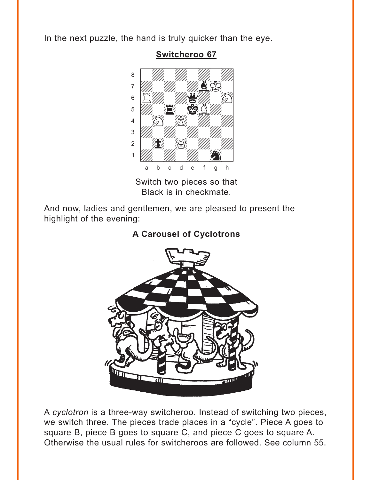<span id="page-2-0"></span>In the next puzzle, the hand is truly quicker than the eye.



### **Switcheroo 67**

Switch two pieces so that Black is in checkmate.

And now, ladies and gentlemen, we are pleased to present the highlight of the evening:

# A Carousel of Cyclotrons



A cyclotron is a three-way switcheroo. Instead of switching two pieces, we switch three. The pieces trade places in a "cycle". Piece A goes to square B, piece B goes to square C, and piece C goes to square A. Otherwise the usual rules for switcheroos are followed. See column 55.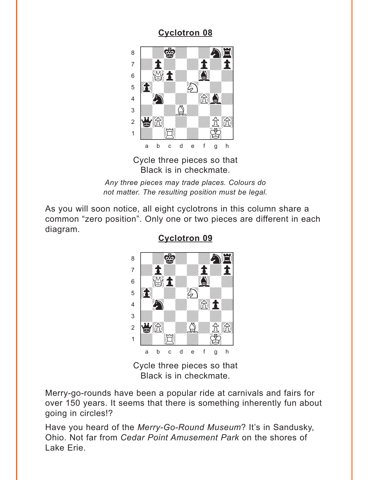<span id="page-3-0"></span>

Cycle three pieces so that Black is in checkmate.

*Any three pieces may trade places. Colours do not matter. The resulting position must be legal.*

As you will soon notice, all eight cyclotrons in this column share a common "zero position". Only one or two pieces are different in each diagram.



**[Cyclotron 09](#page-10-0)**

Cycle three pieces so that Black is in checkmate.

Merry-go-rounds have been a popular ride at carnivals and fairs for over 150 years. It seems that there is something inherently fun about going in circles!?

Have you heard of the *Merry-Go-Round Museum*? It's in Sandusky, Ohio. Not far from *Cedar Point Amusement Park* on the shores of Lake Erie.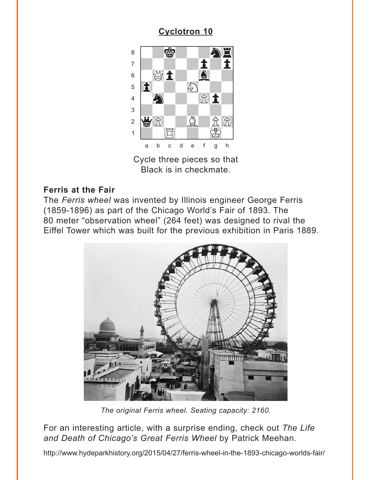<span id="page-4-0"></span>

Cycle three pieces so that Black is in checkmate.

#### **Ferris at the Fair**

The Ferris wheel was invented by Illinois engineer George Ferris (1859-1896) as part of the Chicago World's Fair of 1893. The 80 meter "observation wheel" (264 feet) was designed to rival the Eiffel Tower which was built for the previous exhibition in Paris 1889.



The original Ferris wheel. Seating capacity: 2160.

For an interesting article, with a surprise ending, check out The Life and Death of Chicago's Great Ferris Wheel by Patrick Meehan.

http://www.hydeparkhistory.org/2015/04/27/ferris-wheel-in-the-1893-chicago-worlds-fair/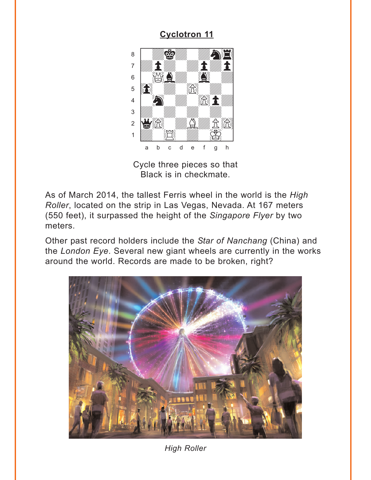<span id="page-5-0"></span>

Cycle three pieces so that Black is in checkmate.

As of March 2014, the tallest Ferris wheel in the world is the High Roller, located on the strip in Las Vegas, Nevada. At 167 meters (550 feet), it surpassed the height of the Singapore Flyer by two meters.

Other past record holders include the Star of Nanchang (China) and the London Eye. Several new giant wheels are currently in the works around the world. Records are made to be broken, right?



**High Roller**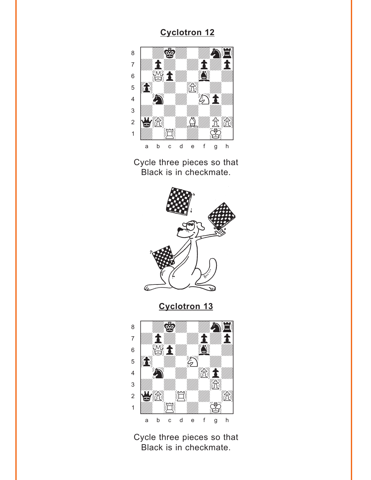<span id="page-6-0"></span>

Cycle three pieces so that Black is in checkmate.



**Cyclotron 13** 



Cycle three pieces so that Black is in checkmate.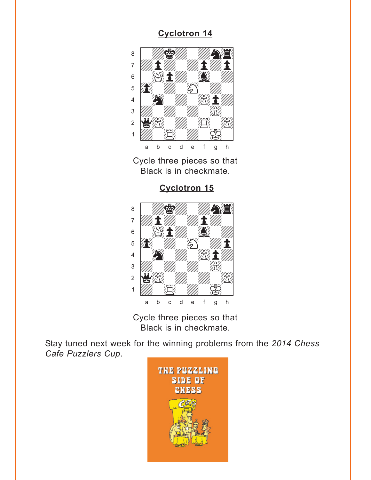<span id="page-7-0"></span>

Cycle three pieces so that Black is in checkmate.

**[Cyclotron 15](#page-13-0)**



Cycle three pieces so that Black is in checkmate.

Stay tuned next week for the winning problems from the *2014 Chess Cafe Puzzlers Cup*.

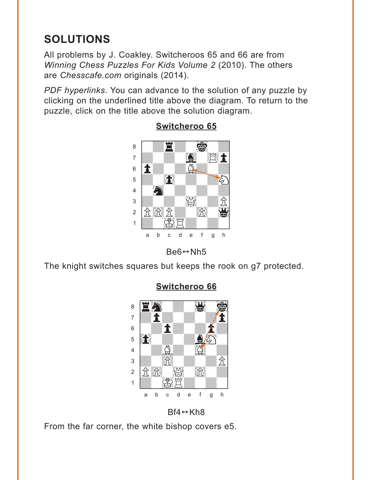# <span id="page-8-0"></span>**SOLUTIONS**

All problems by J. Coakley. Switcheroos 65 and 66 are from Winning Chess Puzzles For Kids Volume 2 (2010). The others are Chesscafe.com originals (2014).

PDF hyperlinks. You can advance to the solution of any puzzle by clicking on the underlined title above the diagram. To return to the puzzle, click on the title above the solution diagram.



### Switcheroo 65



The knight switches squares but keeps the rook on g7 protected.



### **Switcheroo 66**

 $Bf4 \leftrightarrow Kh8$ 

From the far corner, the white bishop covers e5.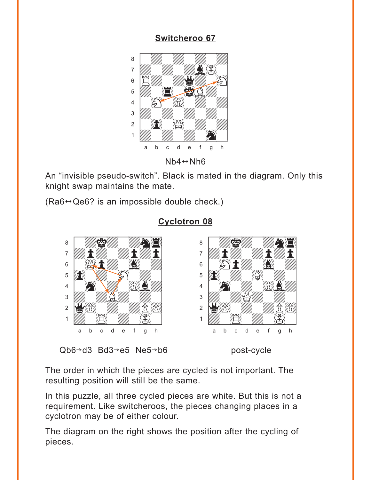### **Switcheroo 67**

<span id="page-9-0"></span>

 $Nb4 \leftrightarrow Nh6$ 

An "invisible pseudo-switch". Black is mated in the diagram. Only this knight swap maintains the mate.

 $(Ra6 \leftrightarrow Qe6$ ? is an impossible double check.)



### **Cyclotron 08**

 $Qb6 \rightarrow d3$  Bd3 $\rightarrow e5$  Ne5 $\rightarrow b6$ 

post-cycle

The order in which the pieces are cycled is not important. The resulting position will still be the same.

In this puzzle, all three cycled pieces are white. But this is not a requirement. Like switcheroos, the pieces changing places in a cyclotron may be of either colour.

The diagram on the right shows the position after the cycling of pieces.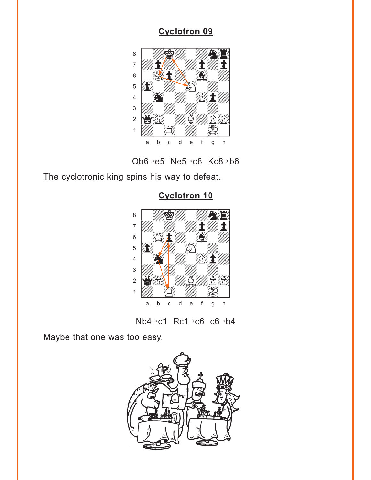<span id="page-10-0"></span>



The cyclotronic king spins his way to defeat.



**[Cyclotron 10](#page-4-0)**

 $Nb4 \rightarrow c1$  Rc1 $\rightarrow$ c6 c6 $\rightarrow$ b4

Maybe that one was too easy.

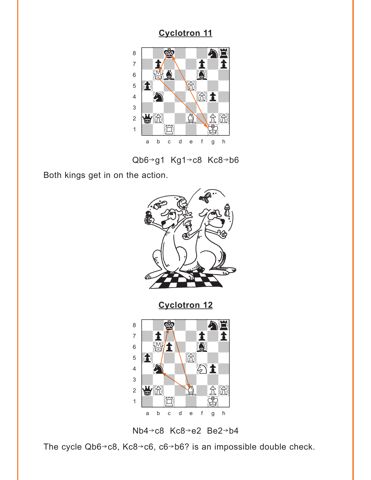<span id="page-11-0"></span>

Qb6-g1 Kg1-c8 Kc8-b6

Both kings get in on the action.



**[Cyclotron 12](#page-6-0)**





The cycle Qb6 $\rightarrow$ c8, Kc8 $\rightarrow$ c6, c6 $\rightarrow$ b6? is an impossible double check.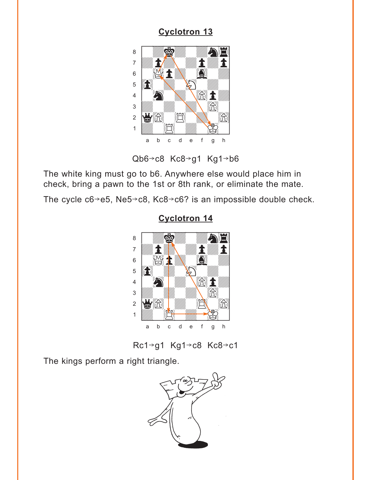<span id="page-12-0"></span>

Qb6→c8 Kc8→g1 Kg1→b6

The white king must go to b6. Anywhere else would place him in check, bring a pawn to the 1st or 8th rank, or eliminate the mate.

The cycle  $c6 \rightarrow e5$ , Ne5 $\rightarrow$ c8, Kc8 $\rightarrow$ c6? is an impossible double check.



### **Cyclotron 14**

Rc1→g1 Kg1→c8 Kc8→c1

The kings perform a right triangle.